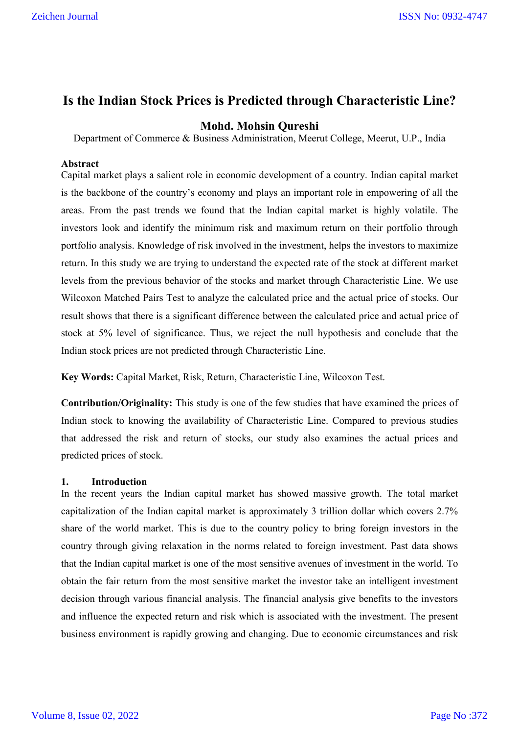## **Is the Indian Stock Prices is Predicted through Characteristic Line?**

### **Mohd. Mohsin Qureshi**

Department of Commerce & Business Administration, Meerut College, Meerut, U.P., India

#### **Abstract**

Capital market plays a salient role in economic development of a country. Indian capital market is the backbone of the country's economy and plays an important role in empowering of all the areas. From the past trends we found that the Indian capital market is highly volatile. The investors look and identify the minimum risk and maximum return on their portfolio through portfolio analysis. Knowledge of risk involved in the investment, helps the investors to maximize return. In this study we are trying to understand the expected rate of the stock at different market levels from the previous behavior of the stocks and market through Characteristic Line. We use Wilcoxon Matched Pairs Test to analyze the calculated price and the actual price of stocks. Our result shows that there is a significant difference between the calculated price and actual price of stock at 5% level of significance. Thus, we reject the null hypothesis and conclude that the Indian stock prices are not predicted through Characteristic Line.

**Key Words:** Capital Market, Risk, Return, Characteristic Line, Wilcoxon Test.

**Contribution/Originality:** This study is one of the few studies that have examined the prices of Indian stock to knowing the availability of Characteristic Line. Compared to previous studies that addressed the risk and return of stocks, our study also examines the actual prices and predicted prices of stock.

#### **1. Introduction**

In the recent years the Indian capital market has showed massive growth. The total market capitalization of the Indian capital market is approximately 3 trillion dollar which covers 2.7% share of the world market. This is due to the country policy to bring foreign investors in the country through giving relaxation in the norms related to foreign investment. Past data shows that the Indian capital market is one of the most sensitive avenues of investment in the world. To obtain the fair return from the most sensitive market the investor take an intelligent investment decision through various financial analysis. The financial analysis give benefits to the investors and influence the expected return and risk which is associated with the investment. The present business environment is rapidly growing and changing. Due to economic circumstances and risk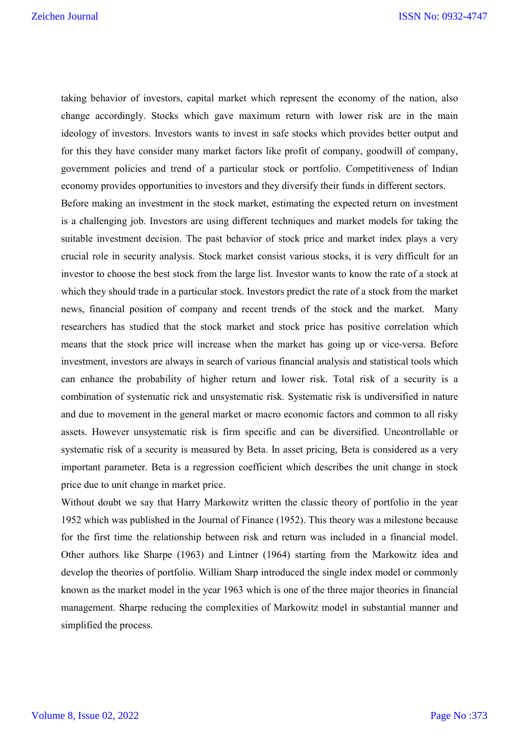taking behavior of investors, capital market which represent the economy of the nation, also change accordingly. Stocks which gave maximum return with lower risk are in the main ideology of investors. Investors wants to invest in safe stocks which provides better output and for this they have consider many market factors like profit of company, goodwill of company, government policies and trend of a particular stock or portfolio. Competitiveness of Indian economy provides opportunities to investors and they diversify their funds in different sectors.

Before making an investment in the stock market, estimating the expected return on investment is a challenging job. Investors are using different techniques and market models for taking the suitable investment decision. The past behavior of stock price and market index plays a very crucial role in security analysis. Stock market consist various stocks, it is very difficult for an investor to choose the best stock from the large list. Investor wants to know the rate of a stock at which they should trade in a particular stock. Investors predict the rate of a stock from the market news, financial position of company and recent trends of the stock and the market. Many researchers has studied that the stock market and stock price has positive correlation which means that the stock price will increase when the market has going up or vice-versa. Before investment, investors are always in search of various financial analysis and statistical tools which can enhance the probability of higher return and lower risk. Total risk of a security is a combination of systematic rick and unsystematic risk. Systematic risk is undiversified in nature and due to movement in the general market or macro economic factors and common to all risky assets. However unsystematic risk is firm specific and can be diversified. Uncontrollable or systematic risk of a security is measured by Beta. In asset pricing, Beta is considered as a very important parameter. Beta is a regression coefficient which describes the unit change in stock price due to unit change in market price.

Without doubt we say that Harry Markowitz written the classic theory of portfolio in the year 1952 which was published in the Journal of Finance (1952). This theory was a milestone because for the first time the relationship between risk and return was included in a financial model. Other authors like Sharpe (1963) and Lintner (1964) starting from the Markowitz idea and develop the theories of portfolio. William Sharp introduced the single index model or commonly known as the market model in the year 1963 which is one of the three major theories in financial management. Sharpe reducing the complexities of Markowitz model in substantial manner and simplified the process.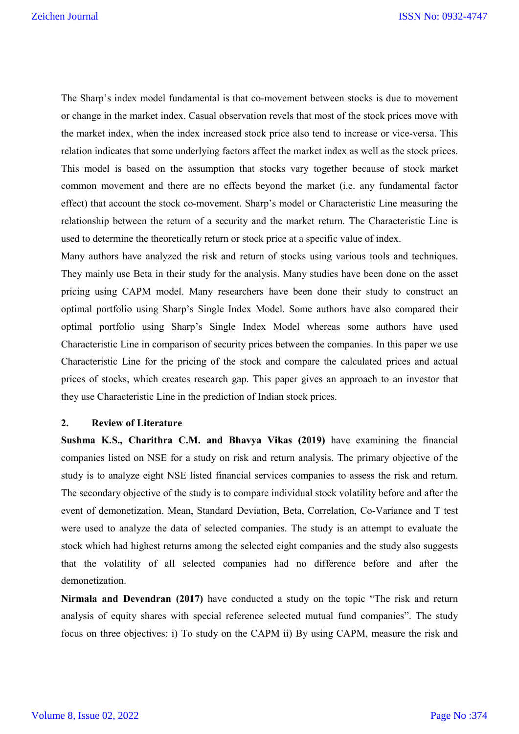The Sharp's index model fundamental is that co-movement between stocks is due to movement or change in the market index. Casual observation revels that most of the stock prices move with the market index, when the index increased stock price also tend to increase or vice-versa. This relation indicates that some underlying factors affect the market index as well as the stock prices. This model is based on the assumption that stocks vary together because of stock market common movement and there are no effects beyond the market (i.e. any fundamental factor effect) that account the stock co-movement. Sharp's model or Characteristic Line measuring the relationship between the return of a security and the market return. The Characteristic Line is used to determine the theoretically return or stock price at a specific value of index.

Many authors have analyzed the risk and return of stocks using various tools and techniques. They mainly use Beta in their study for the analysis. Many studies have been done on the asset pricing using CAPM model. Many researchers have been done their study to construct an optimal portfolio using Sharp's Single Index Model. Some authors have also compared their optimal portfolio using Sharp's Single Index Model whereas some authors have used Characteristic Line in comparison of security prices between the companies. In this paper we use Characteristic Line for the pricing of the stock and compare the calculated prices and actual prices of stocks, which creates research gap. This paper gives an approach to an investor that they use Characteristic Line in the prediction of Indian stock prices.

#### **2. Review of Literature**

**Sushma K.S., Charithra C.M. and Bhavya Vikas (2019)** have examining the financial companies listed on NSE for a study on risk and return analysis. The primary objective of the study is to analyze eight NSE listed financial services companies to assess the risk and return. The secondary objective of the study is to compare individual stock volatility before and after the event of demonetization. Mean, Standard Deviation, Beta, Correlation, Co-Variance and T test were used to analyze the data of selected companies. The study is an attempt to evaluate the stock which had highest returns among the selected eight companies and the study also suggests that the volatility of all selected companies had no difference before and after the demonetization.

**Nirmala and Devendran (2017)** have conducted a study on the topic "The risk and return analysis of equity shares with special reference selected mutual fund companies". The study focus on three objectives: i) To study on the CAPM ii) By using CAPM, measure the risk and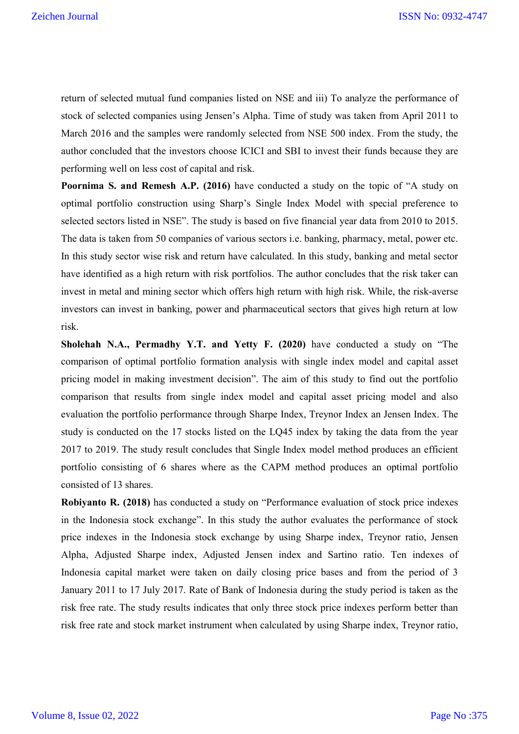return of selected mutual fund companies listed on NSE and iii) To analyze the performance of stock of selected companies using Jensen's Alpha. Time of study was taken from April 2011 to March 2016 and the samples were randomly selected from NSE 500 index. From the study, the author concluded that the investors choose ICICI and SBI to invest their funds because they are performing well on less cost of capital and risk.

**Poornima S. and Remesh A.P. (2016)** have conducted a study on the topic of "A study on optimal portfolio construction using Sharp's Single Index Model with special preference to selected sectors listed in NSE". The study is based on five financial year data from 2010 to 2015. The data is taken from 50 companies of various sectors i.e. banking, pharmacy, metal, power etc. In this study sector wise risk and return have calculated. In this study, banking and metal sector have identified as a high return with risk portfolios. The author concludes that the risk taker can invest in metal and mining sector which offers high return with high risk. While, the risk-averse investors can invest in banking, power and pharmaceutical sectors that gives high return at low risk.

**Sholehah N.A., Permadhy Y.T. and Yetty F. (2020)** have conducted a study on "The comparison of optimal portfolio formation analysis with single index model and capital asset pricing model in making investment decision". The aim of this study to find out the portfolio comparison that results from single index model and capital asset pricing model and also evaluation the portfolio performance through Sharpe Index, Treynor Index an Jensen Index. The study is conducted on the 17 stocks listed on the LQ45 index by taking the data from the year 2017 to 2019. The study result concludes that Single Index model method produces an efficient portfolio consisting of 6 shares where as the CAPM method produces an optimal portfolio consisted of 13 shares.

**Robiyanto R. (2018)** has conducted a study on "Performance evaluation of stock price indexes in the Indonesia stock exchange". In this study the author evaluates the performance of stock price indexes in the Indonesia stock exchange by using Sharpe index, Treynor ratio, Jensen Alpha, Adjusted Sharpe index, Adjusted Jensen index and Sartino ratio. Ten indexes of Indonesia capital market were taken on daily closing price bases and from the period of 3 January 2011 to 17 July 2017. Rate of Bank of Indonesia during the study period is taken as the risk free rate. The study results indicates that only three stock price indexes perform better than risk free rate and stock market instrument when calculated by using Sharpe index, Treynor ratio,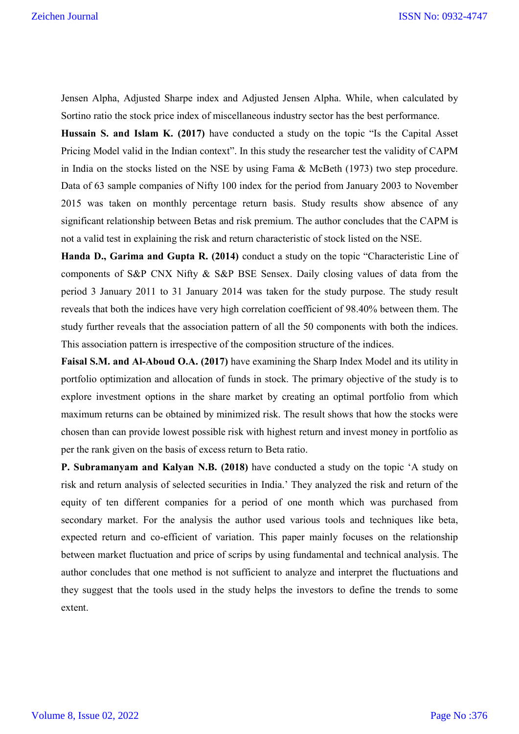Jensen Alpha, Adjusted Sharpe index and Adjusted Jensen Alpha. While, when calculated by Sortino ratio the stock price index of miscellaneous industry sector has the best performance.

**Hussain S. and Islam K. (2017)** have conducted a study on the topic "Is the Capital Asset Pricing Model valid in the Indian context". In this study the researcher test the validity of CAPM in India on the stocks listed on the NSE by using Fama & McBeth (1973) two step procedure. Data of 63 sample companies of Nifty 100 index for the period from January 2003 to November 2015 was taken on monthly percentage return basis. Study results show absence of any significant relationship between Betas and risk premium. The author concludes that the CAPM is not a valid test in explaining the risk and return characteristic of stock listed on the NSE.

**Handa D., Garima and Gupta R. (2014)** conduct a study on the topic "Characteristic Line of components of S&P CNX Nifty & S&P BSE Sensex. Daily closing values of data from the period 3 January 2011 to 31 January 2014 was taken for the study purpose. The study result reveals that both the indices have very high correlation coefficient of 98.40% between them. The study further reveals that the association pattern of all the 50 components with both the indices. This association pattern is irrespective of the composition structure of the indices.

**Faisal S.M. and Al-Aboud O.A. (2017)** have examining the Sharp Index Model and its utility in portfolio optimization and allocation of funds in stock. The primary objective of the study is to explore investment options in the share market by creating an optimal portfolio from which maximum returns can be obtained by minimized risk. The result shows that how the stocks were chosen than can provide lowest possible risk with highest return and invest money in portfolio as per the rank given on the basis of excess return to Beta ratio.

**P. Subramanyam and Kalyan N.B. (2018)** have conducted a study on the topic 'A study on risk and return analysis of selected securities in India.' They analyzed the risk and return of the equity of ten different companies for a period of one month which was purchased from secondary market. For the analysis the author used various tools and techniques like beta, expected return and co-efficient of variation. This paper mainly focuses on the relationship between market fluctuation and price of scrips by using fundamental and technical analysis. The author concludes that one method is not sufficient to analyze and interpret the fluctuations and they suggest that the tools used in the study helps the investors to define the trends to some extent.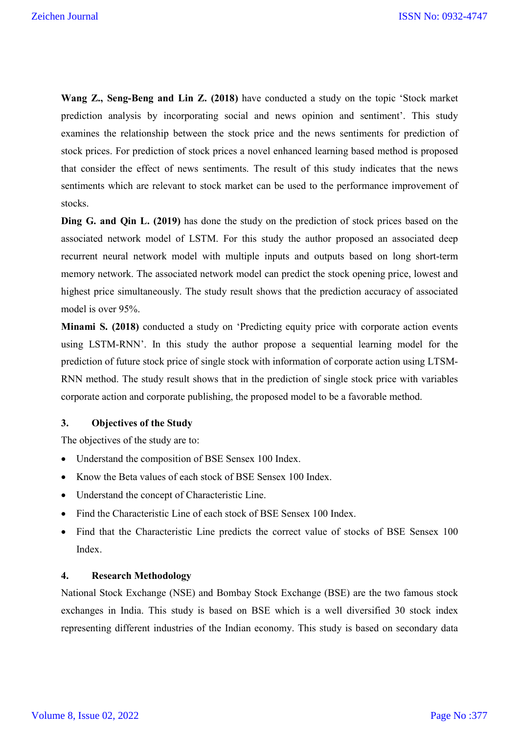**Wang Z., Seng-Beng and Lin Z. (2018)** have conducted a study on the topic 'Stock market prediction analysis by incorporating social and news opinion and sentiment'. This study examines the relationship between the stock price and the news sentiments for prediction of stock prices. For prediction of stock prices a novel enhanced learning based method is proposed that consider the effect of news sentiments. The result of this study indicates that the news sentiments which are relevant to stock market can be used to the performance improvement of stocks.

**Ding G. and Qin L. (2019)** has done the study on the prediction of stock prices based on the associated network model of LSTM. For this study the author proposed an associated deep recurrent neural network model with multiple inputs and outputs based on long short-term memory network. The associated network model can predict the stock opening price, lowest and highest price simultaneously. The study result shows that the prediction accuracy of associated model is over 95%.

**Minami S. (2018)** conducted a study on 'Predicting equity price with corporate action events using LSTM-RNN'. In this study the author propose a sequential learning model for the prediction of future stock price of single stock with information of corporate action using LTSM-RNN method. The study result shows that in the prediction of single stock price with variables corporate action and corporate publishing, the proposed model to be a favorable method.

#### **3. Objectives of the Study**

The objectives of the study are to:

- Understand the composition of BSE Sensex 100 Index.
- Know the Beta values of each stock of BSE Sensex 100 Index.
- Understand the concept of Characteristic Line.
- Find the Characteristic Line of each stock of BSE Sensex 100 Index.
- Find that the Characteristic Line predicts the correct value of stocks of BSE Sensex 100 Index.

#### **4. Research Methodology**

National Stock Exchange (NSE) and Bombay Stock Exchange (BSE) are the two famous stock exchanges in India. This study is based on BSE which is a well diversified 30 stock index representing different industries of the Indian economy. This study is based on secondary data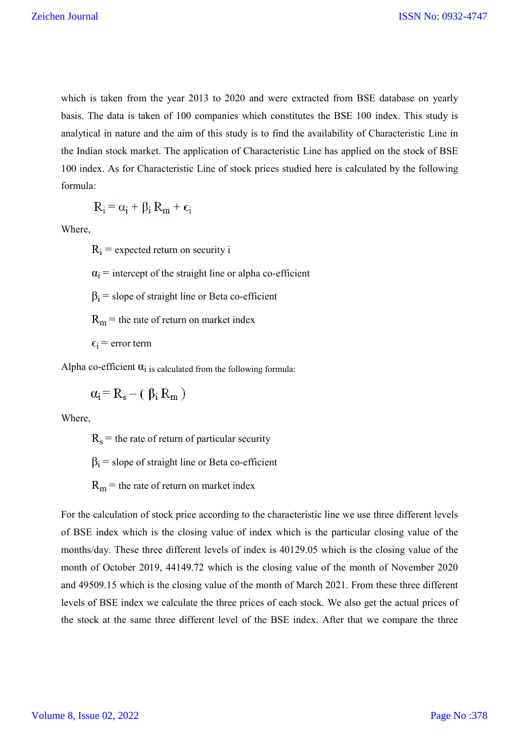which is taken from the year 2013 to 2020 and were extracted from BSE database on yearly basis. The data is taken of 100 companies which constitutes the BSE 100 index. This study is analytical in nature and the aim of this study is to find the availability of Characteristic Line in the Indian stock market. The application of Characteristic Line has applied on the stock of BSE 100 index. As for Characteristic Line of stock prices studied here is calculated by the following formula:

$$
R_i = \alpha_i + \beta_i R_m + \varepsilon_i
$$

Where,

 $R_i$  = expected return on security i

 $\alpha_i$  = intercept of the straight line or alpha co-efficient

 $\beta_i$  = slope of straight line or Beta co-efficient

 $R_m$  = the rate of return on market index

 $\epsilon_i$  = error term

Alpha co-efficient  $\alpha_i$  is calculated from the following formula:

 $\alpha_i = R_s - (\beta_i R_m)$ 

Where,

 $R_s$  = the rate of return of particular security

 $\beta_i$  = slope of straight line or Beta co-efficient

 $R_m$  = the rate of return on market index

For the calculation of stock price according to the characteristic line we use three different levels of BSE index which is the closing value of index which is the particular closing value of the months/day. These three different levels of index is 40129.05 which is the closing value of the month of October 2019, 44149.72 which is the closing value of the month of November 2020 and 49509.15 which is the closing value of the month of March 2021. From these three different levels of BSE index we calculate the three prices of each stock. We also get the actual prices of the stock at the same three different level of the BSE index. After that we compare the three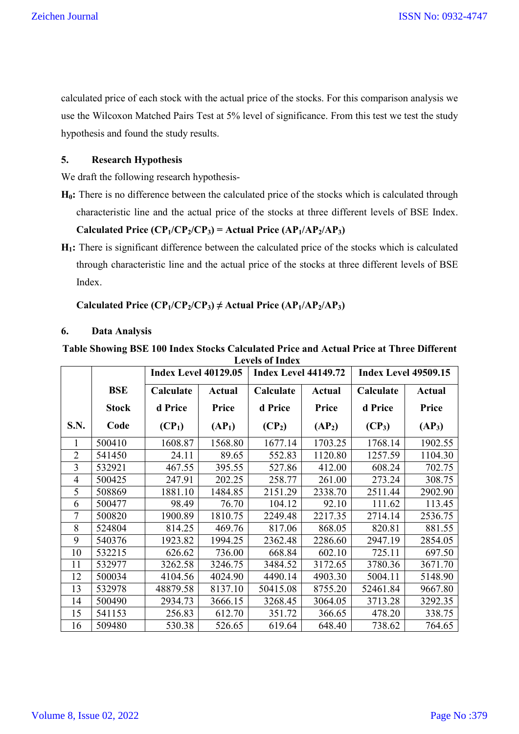calculated price of each stock with the actual price of the stocks. For this comparison analysis we use the Wilcoxon Matched Pairs Test at 5% level of significance. From this test we test the study hypothesis and found the study results.

#### **5. Research Hypothesis**

We draft the following research hypothesis-

**H0:** There is no difference between the calculated price of the stocks which is calculated through characteristic line and the actual price of the stocks at three different levels of BSE Index. **Calculated Price**  $(CP_1/CP_2/CP_3)$  **= Actual Price**  $(AP_1/AP_2/AP_3)$ 

**H1:** There is significant difference between the calculated price of the stocks which is calculated through characteristic line and the actual price of the stocks at three different levels of BSE Index.

#### Calculated Price  $(CP_1/CP_2/CP_3) \neq$  Actual Price  $(AP_1/AP_2/AP_3)$

#### **6. Data Analysis**

|                | <b>Index Level 40129.05</b> |           |                    | <b>Index Level 44149.72</b> |                    | <b>Index Level 49509.15</b> |                    |
|----------------|-----------------------------|-----------|--------------------|-----------------------------|--------------------|-----------------------------|--------------------|
|                | <b>BSE</b>                  | Calculate | <b>Actual</b>      | Calculate                   | <b>Actual</b>      | Calculate                   | <b>Actual</b>      |
|                | <b>Stock</b>                | d Price   | Price              | d Price                     | Price              | d Price                     | Price              |
| S.N.           | Code                        | $(CP_1)$  | (AP <sub>1</sub> ) | $(CP_2)$                    | (AP <sub>2</sub> ) | $(CP_3)$                    | (AP <sub>3</sub> ) |
|                | 500410                      | 1608.87   | 1568.80            | 1677.14                     | 1703.25            | 1768.14                     | 1902.55            |
| $\overline{2}$ | 541450                      | 24.11     | 89.65              | 552.83                      | 1120.80            | 1257.59                     | 1104.30            |
| 3              | 532921                      | 467.55    | 395.55             | 527.86                      | 412.00             | 608.24                      | 702.75             |
| $\overline{4}$ | 500425                      | 247.91    | 202.25             | 258.77                      | 261.00             | 273.24                      | 308.75             |
| 5              | 508869                      | 1881.10   | 1484.85            | 2151.29                     | 2338.70            | 2511.44                     | 2902.90            |
| 6              | 500477                      | 98.49     | 76.70              | 104.12                      | 92.10              | 111.62                      | 113.45             |
| 7              | 500820                      | 1900.89   | 1810.75            | 2249.48                     | 2217.35            | 2714.14                     | 2536.75            |
| 8              | 524804                      | 814.25    | 469.76             | 817.06                      | 868.05             | 820.81                      | 881.55             |
| 9              | 540376                      | 1923.82   | 1994.25            | 2362.48                     | 2286.60            | 2947.19                     | 2854.05            |
| 10             | 532215                      | 626.62    | 736.00             | 668.84                      | 602.10             | 725.11                      | 697.50             |
| 11             | 532977                      | 3262.58   | 3246.75            | 3484.52                     | 3172.65            | 3780.36                     | 3671.70            |
| 12             | 500034                      | 4104.56   | 4024.90            | 4490.14                     | 4903.30            | 5004.11                     | 5148.90            |
| 13             | 532978                      | 48879.58  | 8137.10            | 50415.08                    | 8755.20            | 52461.84                    | 9667.80            |
| 14             | 500490                      | 2934.73   | 3666.15            | 3268.45                     | 3064.05            | 3713.28                     | 3292.35            |
| 15             | 541153                      | 256.83    | 612.70             | 351.72                      | 366.65             | 478.20                      | 338.75             |
| 16             | 509480                      | 530.38    | 526.65             | 619.64                      | 648.40             | 738.62                      | 764.65             |

**Table Showing BSE 100 Index Stocks Calculated Price and Actual Price at Three Different Levels of Index**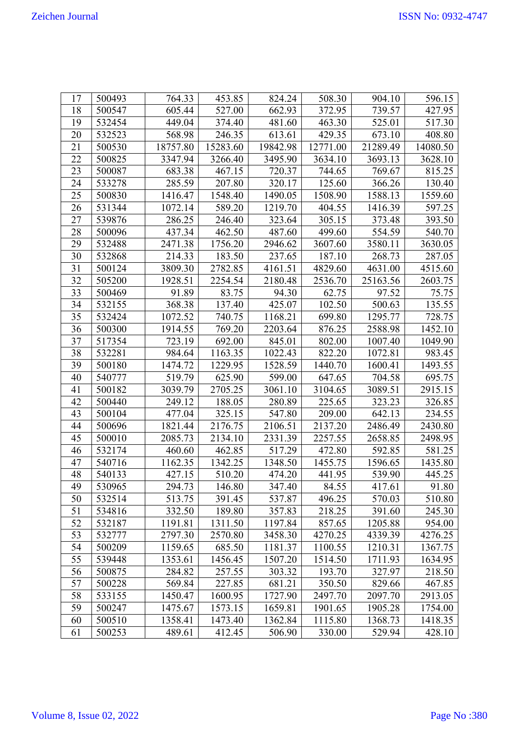| 17 | 500493 | 764.33   | 453.85   | 824.24   | 508.30   | 904.10   | 596.15   |
|----|--------|----------|----------|----------|----------|----------|----------|
| 18 | 500547 | 605.44   | 527.00   | 662.93   | 372.95   | 739.57   | 427.95   |
| 19 | 532454 | 449.04   | 374.40   | 481.60   | 463.30   | 525.01   | 517.30   |
| 20 | 532523 | 568.98   | 246.35   | 613.61   | 429.35   | 673.10   | 408.80   |
| 21 | 500530 | 18757.80 | 15283.60 | 19842.98 | 12771.00 | 21289.49 | 14080.50 |
| 22 | 500825 | 3347.94  | 3266.40  | 3495.90  | 3634.10  | 3693.13  | 3628.10  |
| 23 | 500087 | 683.38   | 467.15   | 720.37   | 744.65   | 769.67   | 815.25   |
| 24 | 533278 | 285.59   | 207.80   | 320.17   | 125.60   | 366.26   | 130.40   |
| 25 | 500830 | 1416.47  | 1548.40  | 1490.05  | 1508.90  | 1588.13  | 1559.60  |
| 26 | 531344 | 1072.14  | 589.20   | 1219.70  | 404.55   | 1416.39  | 597.25   |
| 27 | 539876 | 286.25   | 246.40   | 323.64   | 305.15   | 373.48   | 393.50   |
| 28 | 500096 | 437.34   | 462.50   | 487.60   | 499.60   | 554.59   | 540.70   |
| 29 | 532488 | 2471.38  | 1756.20  | 2946.62  | 3607.60  | 3580.11  | 3630.05  |
| 30 | 532868 | 214.33   | 183.50   | 237.65   | 187.10   | 268.73   | 287.05   |
| 31 | 500124 | 3809.30  | 2782.85  | 4161.51  | 4829.60  | 4631.00  | 4515.60  |
| 32 | 505200 | 1928.51  | 2254.54  | 2180.48  | 2536.70  | 25163.56 | 2603.75  |
| 33 | 500469 | 91.89    | 83.75    | 94.30    | 62.75    | 97.52    | 75.75    |
| 34 | 532155 | 368.38   | 137.40   | 425.07   | 102.50   | 500.63   | 135.55   |
| 35 | 532424 | 1072.52  | 740.75   | 1168.21  | 699.80   | 1295.77  | 728.75   |
| 36 | 500300 | 1914.55  | 769.20   | 2203.64  | 876.25   | 2588.98  | 1452.10  |
| 37 | 517354 | 723.19   | 692.00   | 845.01   | 802.00   | 1007.40  | 1049.90  |
| 38 | 532281 | 984.64   | 1163.35  | 1022.43  | 822.20   | 1072.81  | 983.45   |
| 39 | 500180 | 1474.72  | 1229.95  | 1528.59  | 1440.70  | 1600.41  | 1493.55  |
| 40 | 540777 | 519.79   | 625.90   | 599.00   | 647.65   | 704.58   | 695.75   |
| 41 | 500182 | 3039.79  | 2705.25  | 3061.10  | 3104.65  | 3089.51  | 2915.15  |
| 42 | 500440 | 249.12   | 188.05   | 280.89   | 225.65   | 323.23   | 326.85   |
| 43 | 500104 | 477.04   | 325.15   | 547.80   | 209.00   | 642.13   | 234.55   |
| 44 | 500696 | 1821.44  | 2176.75  | 2106.51  | 2137.20  | 2486.49  | 2430.80  |
| 45 | 500010 | 2085.73  | 2134.10  | 2331.39  | 2257.55  | 2658.85  | 2498.95  |
| 46 | 532174 | 460.60   | 462.85   | 517.29   | 472.80   | 592.85   | 581.25   |
| 47 | 540716 | 1162.35  | 1342.25  | 1348.50  | 1455.75  | 1596.65  | 1435.80  |
| 48 | 540133 | 427.15   | 510.20   | 474.20   | 441.95   | 539.90   | 445.25   |
| 49 | 530965 | 294.73   | 146.80   | 347.40   | 84.55    | 417.61   | 91.80    |
| 50 | 532514 | 513.75   | 391.45   | 537.87   | 496.25   | 570.03   | 510.80   |
| 51 | 534816 | 332.50   | 189.80   | 357.83   | 218.25   | 391.60   | 245.30   |
| 52 | 532187 | 1191.81  | 1311.50  | 1197.84  | 857.65   | 1205.88  | 954.00   |
| 53 | 532777 | 2797.30  | 2570.80  | 3458.30  | 4270.25  | 4339.39  | 4276.25  |
| 54 | 500209 | 1159.65  | 685.50   | 1181.37  | 1100.55  | 1210.31  | 1367.75  |
| 55 | 539448 | 1353.61  | 1456.45  | 1507.20  | 1514.50  | 1711.93  | 1634.95  |
| 56 | 500875 | 284.82   | 257.55   | 303.32   | 193.70   | 327.97   | 218.50   |
| 57 | 500228 | 569.84   | 227.85   | 681.21   | 350.50   | 829.66   | 467.85   |
| 58 | 533155 | 1450.47  | 1600.95  | 1727.90  | 2497.70  | 2097.70  | 2913.05  |
| 59 | 500247 | 1475.67  | 1573.15  | 1659.81  | 1901.65  | 1905.28  | 1754.00  |
| 60 | 500510 | 1358.41  | 1473.40  | 1362.84  | 1115.80  | 1368.73  | 1418.35  |
| 61 | 500253 | 489.61   | 412.45   | 506.90   | 330.00   | 529.94   | 428.10   |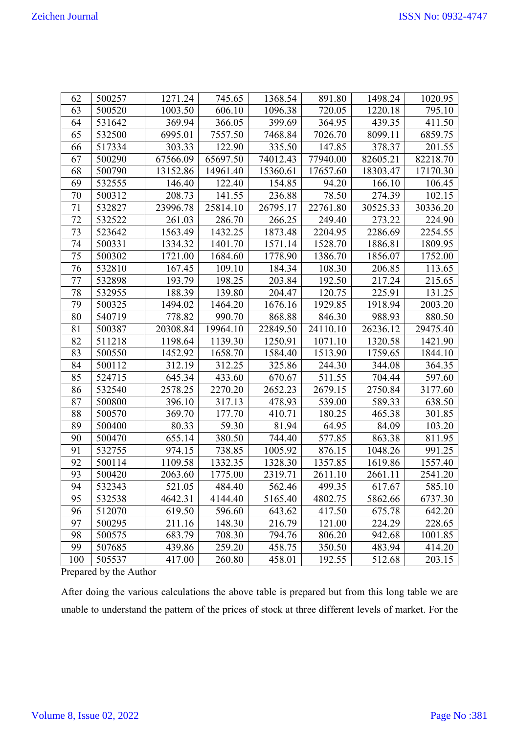| 62  | 500257 | 1271.24  | 745.65   | 1368.54  | 891.80   | 1498.24  | 1020.95  |
|-----|--------|----------|----------|----------|----------|----------|----------|
| 63  | 500520 | 1003.50  | 606.10   | 1096.38  | 720.05   | 1220.18  | 795.10   |
| 64  | 531642 | 369.94   | 366.05   | 399.69   | 364.95   | 439.35   | 411.50   |
| 65  | 532500 | 6995.01  | 7557.50  | 7468.84  | 7026.70  | 8099.11  | 6859.75  |
| 66  | 517334 | 303.33   | 122.90   | 335.50   | 147.85   | 378.37   | 201.55   |
| 67  | 500290 | 67566.09 | 65697.50 | 74012.43 | 77940.00 | 82605.21 | 82218.70 |
| 68  | 500790 | 13152.86 | 14961.40 | 15360.61 | 17657.60 | 18303.47 | 17170.30 |
| 69  | 532555 | 146.40   | 122.40   | 154.85   | 94.20    | 166.10   | 106.45   |
| 70  | 500312 | 208.73   | 141.55   | 236.88   | 78.50    | 274.39   | 102.15   |
| 71  | 532827 | 23996.78 | 25814.10 | 26795.17 | 22761.80 | 30525.33 | 30336.20 |
| 72  | 532522 | 261.03   | 286.70   | 266.25   | 249.40   | 273.22   | 224.90   |
| 73  | 523642 | 1563.49  | 1432.25  | 1873.48  | 2204.95  | 2286.69  | 2254.55  |
| 74  | 500331 | 1334.32  | 1401.70  | 1571.14  | 1528.70  | 1886.81  | 1809.95  |
| 75  | 500302 | 1721.00  | 1684.60  | 1778.90  | 1386.70  | 1856.07  | 1752.00  |
| 76  | 532810 | 167.45   | 109.10   | 184.34   | 108.30   | 206.85   | 113.65   |
| 77  | 532898 | 193.79   | 198.25   | 203.84   | 192.50   | 217.24   | 215.65   |
| 78  | 532955 | 188.39   | 139.80   | 204.47   | 120.75   | 225.91   | 131.25   |
| 79  | 500325 | 1494.02  | 1464.20  | 1676.16  | 1929.85  | 1918.94  | 2003.20  |
| 80  | 540719 | 778.82   | 990.70   | 868.88   | 846.30   | 988.93   | 880.50   |
| 81  | 500387 | 20308.84 | 19964.10 | 22849.50 | 24110.10 | 26236.12 | 29475.40 |
| 82  | 511218 | 1198.64  | 1139.30  | 1250.91  | 1071.10  | 1320.58  | 1421.90  |
| 83  | 500550 | 1452.92  | 1658.70  | 1584.40  | 1513.90  | 1759.65  | 1844.10  |
| 84  | 500112 | 312.19   | 312.25   | 325.86   | 244.30   | 344.08   | 364.35   |
| 85  | 524715 | 645.34   | 433.60   | 670.67   | 511.55   | 704.44   | 597.60   |
| 86  | 532540 | 2578.25  | 2270.20  | 2652.23  | 2679.15  | 2750.84  | 3177.60  |
| 87  | 500800 | 396.10   | 317.13   | 478.93   | 539.00   | 589.33   | 638.50   |
| 88  | 500570 | 369.70   | 177.70   | 410.71   | 180.25   | 465.38   | 301.85   |
| 89  | 500400 | 80.33    | 59.30    | 81.94    | 64.95    | 84.09    | 103.20   |
| 90  | 500470 | 655.14   | 380.50   | 744.40   | 577.85   | 863.38   | 811.95   |
| 91  | 532755 | 974.15   | 738.85   | 1005.92  | 876.15   | 1048.26  | 991.25   |
| 92  | 500114 | 1109.58  | 1332.35  | 1328.30  | 1357.85  | 1619.86  | 1557.40  |
| 93  | 500420 | 2063.60  | 1775.00  | 2319.71  | 2611.10  | 2661.11  | 2541.20  |
| 94  | 532343 | 521.05   | 484.40   | 562.46   | 499.35   | 617.67   | 585.10   |
| 95  | 532538 | 4642.31  | 4144.40  | 5165.40  | 4802.75  | 5862.66  | 6737.30  |
| 96  | 512070 | 619.50   | 596.60   | 643.62   | 417.50   | 675.78   | 642.20   |
| 97  | 500295 | 211.16   | 148.30   | 216.79   | 121.00   | 224.29   | 228.65   |
| 98  | 500575 | 683.79   | 708.30   | 794.76   | 806.20   | 942.68   | 1001.85  |
| 99  | 507685 | 439.86   | 259.20   | 458.75   | 350.50   | 483.94   | 414.20   |
| 100 | 505537 | 417.00   | 260.80   | 458.01   | 192.55   | 512.68   | 203.15   |

Prepared by the Author

After doing the various calculations the above table is prepared but from this long table we are unable to understand the pattern of the prices of stock at three different levels of market. For the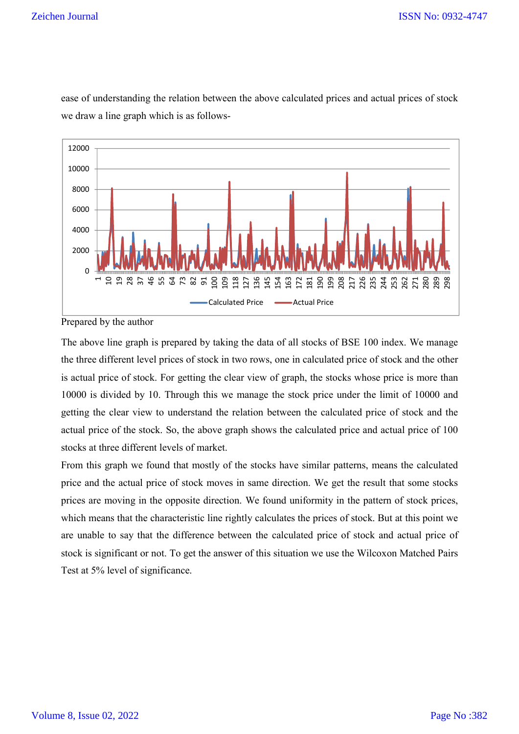#### Zeichen Journal



ease of understanding the relation between the above calculated prices and actual prices of stock we draw a line graph which is as follows-

Prepared by the author

The above line graph is prepared by taking the data of all stocks of BSE 100 index. We manage the three different level prices of stock in two rows, one in calculated price of stock and the other is actual price of stock. For getting the clear view of graph, the stocks whose price is more than 10000 is divided by 10. Through this we manage the stock price under the limit of 10000 and getting the clear view to understand the relation between the calculated price of stock and the actual price of the stock. So, the above graph shows the calculated price and actual price of 100 stocks at three different levels of market.

From this graph we found that mostly of the stocks have similar patterns, means the calculated price and the actual price of stock moves in same direction. We get the result that some stocks prices are moving in the opposite direction. We found uniformity in the pattern of stock prices, which means that the characteristic line rightly calculates the prices of stock. But at this point we are unable to say that the difference between the calculated price of stock and actual price of stock is significant or not. To get the answer of this situation we use the Wilcoxon Matched Pairs Test at 5% level of significance.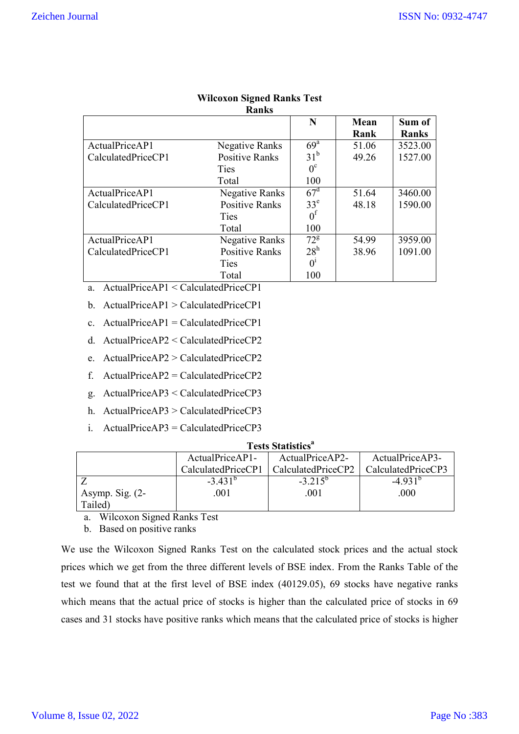|                    | Ranks                 |                   |       |         |
|--------------------|-----------------------|-------------------|-------|---------|
|                    |                       | N                 | Mean  | Sum of  |
|                    |                       |                   | Rank  | Ranks   |
| ActualPriceAP1     | Negative Ranks        | $69^{\mathrm{a}}$ | 51.06 | 3523.00 |
| CalculatedPriceCP1 | <b>Positive Ranks</b> | $31^b$            | 49.26 | 1527.00 |
|                    | Ties                  | $0^{\circ}$       |       |         |
|                    | Total                 | 100               |       |         |
| ActualPriceAP1     | Negative Ranks        | $67^{\rm d}$      | 51.64 | 3460.00 |
| CalculatedPriceCP1 | <b>Positive Ranks</b> | 33 <sup>e</sup>   | 48.18 | 1590.00 |
|                    | Ties                  | $0^1$             |       |         |
|                    | Total                 | 100               |       |         |
| ActualPriceAP1     | Negative Ranks        | $72^8$            | 54.99 | 3959.00 |
| CalculatedPriceCP1 | <b>Positive Ranks</b> | $28^h$            | 38.96 | 1091.00 |
|                    | Ties                  | 0 <sup>1</sup>    |       |         |
|                    | Total                 | 100               |       |         |

# **Wilcoxon Signed Ranks Test**

a. ActualPriceAP1 < CalculatedPriceCP1

- b. ActualPriceAP1 > CalculatedPriceCP1
- c.  $ActualPriceAP1 = CalculatedPriceCP1$
- d. ActualPriceAP2 < CalculatedPriceCP2
- e. ActualPriceAP2 > CalculatedPriceCP2
- f. ActualPriceAP2 = CalculatedPriceCP2
- g. ActualPriceAP3 < CalculatedPriceCP3
- h. ActualPriceAP3 > CalculatedPriceCP3
- i. ActualPriceAP3 = CalculatedPriceCP3

| <b>Tests Statistics<sup>a</sup></b> |                       |                    |                    |  |  |  |  |
|-------------------------------------|-----------------------|--------------------|--------------------|--|--|--|--|
|                                     | $ActualPriceAP1-$     | ActualPriceAP2-    | ActualPriceAP3-    |  |  |  |  |
|                                     | CalculatedPriceCP1    | CalculatedPriceCP2 | CalculatedPriceCP3 |  |  |  |  |
|                                     | $-3.431$ <sup>o</sup> | $-3.215^{o}$       | $-4.931$           |  |  |  |  |
| Asymp. Sig. $(2-$                   | .001                  | .001               | .000               |  |  |  |  |
| Tailed)                             |                       |                    |                    |  |  |  |  |

a. Wilcoxon Signed Ranks Test

b. Based on positive ranks

We use the Wilcoxon Signed Ranks Test on the calculated stock prices and the actual stock prices which we get from the three different levels of BSE index. From the Ranks Table of the test we found that at the first level of BSE index (40129.05), 69 stocks have negative ranks which means that the actual price of stocks is higher than the calculated price of stocks in 69 cases and 31 stocks have positive ranks which means that the calculated price of stocks is higher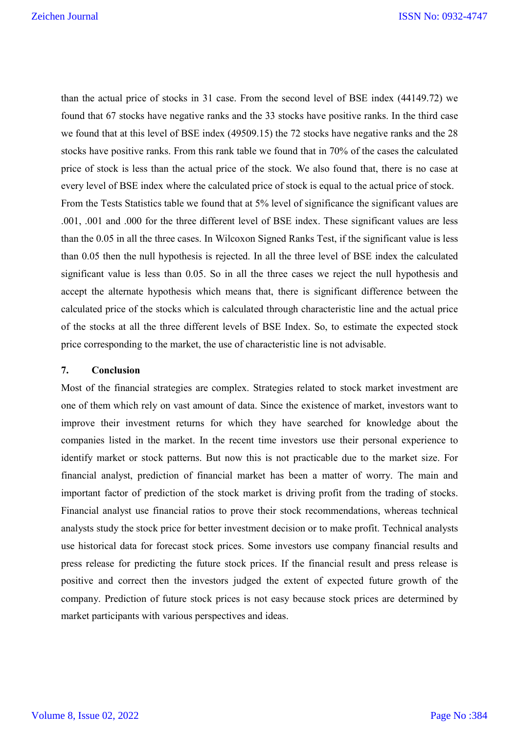than the actual price of stocks in 31 case. From the second level of BSE index (44149.72) we found that 67 stocks have negative ranks and the 33 stocks have positive ranks. In the third case we found that at this level of BSE index (49509.15) the 72 stocks have negative ranks and the 28 stocks have positive ranks. From this rank table we found that in 70% of the cases the calculated price of stock is less than the actual price of the stock. We also found that, there is no case at every level of BSE index where the calculated price of stock is equal to the actual price of stock. From the Tests Statistics table we found that at 5% level of significance the significant values are .001, .001 and .000 for the three different level of BSE index. These significant values are less than the 0.05 in all the three cases. In Wilcoxon Signed Ranks Test, if the significant value is less than 0.05 then the null hypothesis is rejected. In all the three level of BSE index the calculated significant value is less than 0.05. So in all the three cases we reject the null hypothesis and accept the alternate hypothesis which means that, there is significant difference between the calculated price of the stocks which is calculated through characteristic line and the actual price of the stocks at all the three different levels of BSE Index. So, to estimate the expected stock price corresponding to the market, the use of characteristic line is not advisable.

#### **7. Conclusion**

Most of the financial strategies are complex. Strategies related to stock market investment are one of them which rely on vast amount of data. Since the existence of market, investors want to improve their investment returns for which they have searched for knowledge about the companies listed in the market. In the recent time investors use their personal experience to identify market or stock patterns. But now this is not practicable due to the market size. For financial analyst, prediction of financial market has been a matter of worry. The main and important factor of prediction of the stock market is driving profit from the trading of stocks. Financial analyst use financial ratios to prove their stock recommendations, whereas technical analysts study the stock price for better investment decision or to make profit. Technical analysts use historical data for forecast stock prices. Some investors use company financial results and press release for predicting the future stock prices. If the financial result and press release is positive and correct then the investors judged the extent of expected future growth of the company. Prediction of future stock prices is not easy because stock prices are determined by market participants with various perspectives and ideas.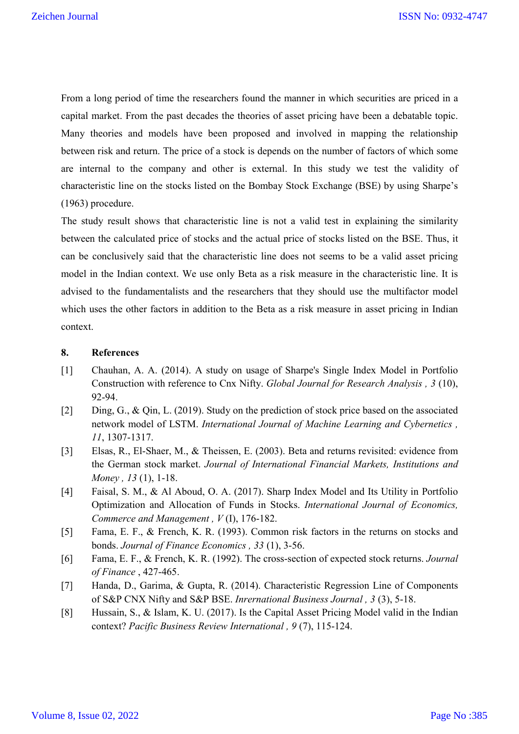From a long period of time the researchers found the manner in which securities are priced in a capital market. From the past decades the theories of asset pricing have been a debatable topic. Many theories and models have been proposed and involved in mapping the relationship between risk and return. The price of a stock is depends on the number of factors of which some are internal to the company and other is external. In this study we test the validity of characteristic line on the stocks listed on the Bombay Stock Exchange (BSE) by using Sharpe's (1963) procedure.

The study result shows that characteristic line is not a valid test in explaining the similarity between the calculated price of stocks and the actual price of stocks listed on the BSE. Thus, it can be conclusively said that the characteristic line does not seems to be a valid asset pricing model in the Indian context. We use only Beta as a risk measure in the characteristic line. It is advised to the fundamentalists and the researchers that they should use the multifactor model which uses the other factors in addition to the Beta as a risk measure in asset pricing in Indian context.

#### **8. References**

- [1] Chauhan, A. A. (2014). A study on usage of Sharpe's Single Index Model in Portfolio Construction with reference to Cnx Nifty. *Global Journal for Research Analysis , 3* (10), 92-94.
- [2] Ding, G., & Qin, L. (2019). Study on the prediction of stock price based on the associated network model of LSTM. *International Journal of Machine Learning and Cybernetics , 11*, 1307-1317.
- [3] Elsas, R., El-Shaer, M., & Theissen, E. (2003). Beta and returns revisited: evidence from the German stock market. *Journal of International Financial Markets, Institutions and Money , 13* (1), 1-18.
- [4] Faisal, S. M., & Al Aboud, O. A. (2017). Sharp Index Model and Its Utility in Portfolio Optimization and Allocation of Funds in Stocks. *International Journal of Economics, Commerce and Management , V* (I), 176-182.
- [5] Fama, E. F., & French, K. R. (1993). Common risk factors in the returns on stocks and bonds. *Journal of Finance Economics , 33* (1), 3-56.
- [6] Fama, E. F., & French, K. R. (1992). The cross-section of expected stock returns. *Journal of Finance* , 427-465.
- [7] Handa, D., Garima, & Gupta, R. (2014). Characteristic Regression Line of Components of S&P CNX Nifty and S&P BSE. *Inrernational Business Journal , 3* (3), 5-18.
- [8] Hussain, S., & Islam, K. U. (2017). Is the Capital Asset Pricing Model valid in the Indian context? *Pacific Business Review International , 9* (7), 115-124.